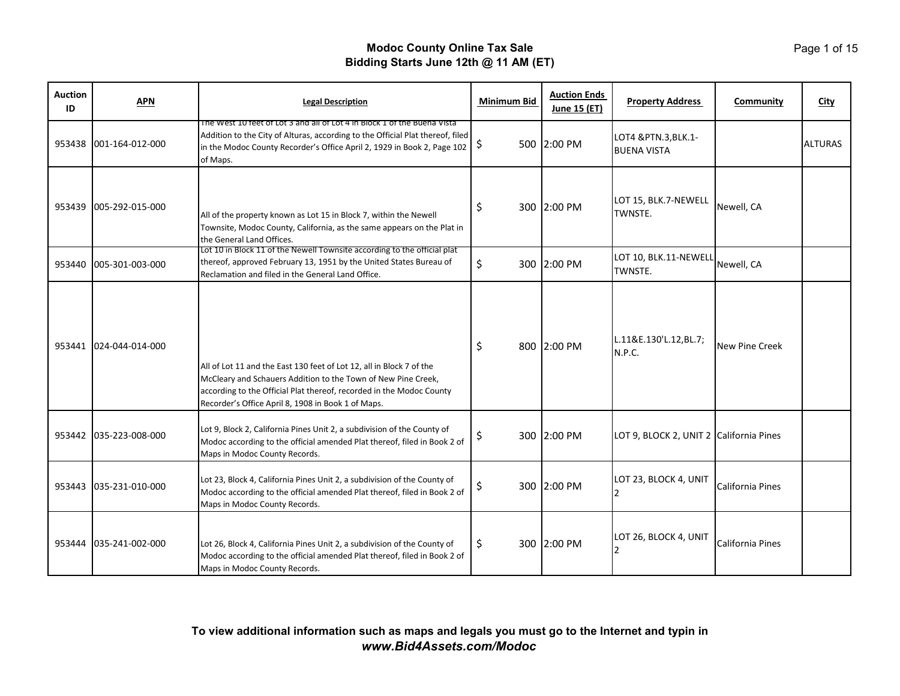| <b>Auction</b><br>ID | <b>APN</b>             | <b>Legal Description</b>                                                                                                                                                                                                                                            | Minimum Bid | <b>Auction Ends</b><br>June 15 (ET) | <b>Property Address</b>                    | <b>Community</b> | City           |
|----------------------|------------------------|---------------------------------------------------------------------------------------------------------------------------------------------------------------------------------------------------------------------------------------------------------------------|-------------|-------------------------------------|--------------------------------------------|------------------|----------------|
|                      | 953438 001-164-012-000 | The West 10 feet of Lot 3 and all of Lot 4 in Block 1 of the Buena Vista<br>Addition to the City of Alturas, according to the Official Plat thereof, filed<br>in the Modoc County Recorder's Office April 2, 1929 in Book 2, Page 102<br>of Maps.                   | \$          | 500 2:00 PM                         | LOT4 & PTN.3, BLK.1-<br><b>BUENA VISTA</b> |                  | <b>ALTURAS</b> |
| 953439               | 005-292-015-000        | All of the property known as Lot 15 in Block 7, within the Newell<br>Townsite, Modoc County, California, as the same appears on the Plat in<br>the General Land Offices.                                                                                            | \$          | 300 2:00 PM                         | LOT 15, BLK.7-NEWELL<br>TWNSTE.            | Newell, CA       |                |
| 953440               | 005-301-003-000        | Lot 10 in Block 11 of the Newell Townsite according to the official plat<br>thereof, approved February 13, 1951 by the United States Bureau of<br>Reclamation and filed in the General Land Office.                                                                 | \$          | 300 2:00 PM                         | LOT 10, BLK.11-NEWELL<br>TWNSTE.           | Newell, CA       |                |
| 953441               | 024-044-014-000        | All of Lot 11 and the East 130 feet of Lot 12, all in Block 7 of the<br>McCleary and Schauers Addition to the Town of New Pine Creek,<br>according to the Official Plat thereof, recorded in the Modoc County<br>Recorder's Office April 8, 1908 in Book 1 of Maps. | \$          | 800 2:00 PM                         | L.11&E.130'L.12,BL.7;<br>N.P.C.            | New Pine Creek   |                |
|                      | 953442 035-223-008-000 | Lot 9, Block 2, California Pines Unit 2, a subdivision of the County of<br>Modoc according to the official amended Plat thereof, filed in Book 2 of<br>Maps in Modoc County Records.                                                                                | \$          | 300 2:00 PM                         | LOT 9, BLOCK 2, UNIT 2 California Pines    |                  |                |
| 953443               | 035-231-010-000        | Lot 23, Block 4, California Pines Unit 2, a subdivision of the County of<br>Modoc according to the official amended Plat thereof, filed in Book 2 of<br>Maps in Modoc County Records.                                                                               | \$          | 300 2:00 PM                         | LOT 23, BLOCK 4, UNIT                      | California Pines |                |
| 953444               | 035-241-002-000        | Lot 26, Block 4, California Pines Unit 2, a subdivision of the County of<br>Modoc according to the official amended Plat thereof, filed in Book 2 of<br>Maps in Modoc County Records.                                                                               | \$          | 300 2:00 PM                         | LOT 26, BLOCK 4, UNIT                      | California Pines |                |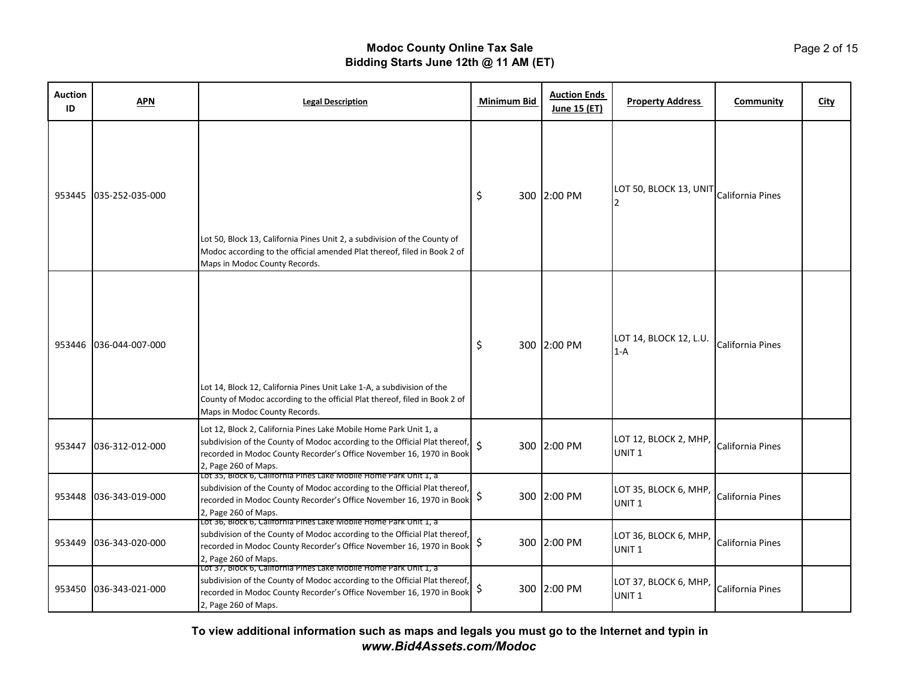| <b>Auction</b><br>ID | <b>APN</b>             | <b>Legal Description</b>                                                                                                                                                                                                                        | <b>Minimum Bid</b> | <b>Auction Ends</b><br>June 15 (ET) | <b>Property Address</b>                    | Community        | <b>City</b> |
|----------------------|------------------------|-------------------------------------------------------------------------------------------------------------------------------------------------------------------------------------------------------------------------------------------------|--------------------|-------------------------------------|--------------------------------------------|------------------|-------------|
| 953445               | 035-252-035-000        | Lot 50, Block 13, California Pines Unit 2, a subdivision of the County of<br>Modoc according to the official amended Plat thereof, filed in Book 2 of<br>Maps in Modoc County Records.                                                          | \$                 | 300 2:00 PM                         | LOT 50, BLOCK 13, UNIT                     | California Pines |             |
| 953446               | 036-044-007-000        | Lot 14, Block 12, California Pines Unit Lake 1-A, a subdivision of the<br>County of Modoc according to the official Plat thereof, filed in Book 2 of<br>Maps in Modoc County Records.                                                           | \$                 | 300 2:00 PM                         | LOT 14, BLOCK 12, L.U.<br>$1-A$            | California Pines |             |
|                      | 953447 036-312-012-000 | Lot 12, Block 2, California Pines Lake Mobile Home Park Unit 1, a<br>subdivision of the County of Modoc according to the Official Plat thereof,<br>recorded in Modoc County Recorder's Office November 16, 1970 in Book<br>2, Page 260 of Maps. | \$                 | 300 2:00 PM                         | LOT 12, BLOCK 2, MHP,<br>UNIT <sub>1</sub> | California Pines |             |
| 953448               | 036-343-019-000        | Lot 35, Block 6, California Pines Lake Mobile Home Park Unit 1, a<br>subdivision of the County of Modoc according to the Official Plat thereof,<br>recorded in Modoc County Recorder's Office November 16, 1970 in Book<br>2, Page 260 of Maps. | \$                 | 300 2:00 PM                         | LOT 35, BLOCK 6, MHP<br>UNIT <sub>1</sub>  | California Pines |             |
| 953449               | 036-343-020-000        | Lot 36, Block 6, California Pines Lake Mobile Home Park Unit 1, a<br>subdivision of the County of Modoc according to the Official Plat thereof,<br>recorded in Modoc County Recorder's Office November 16, 1970 in Book<br>2, Page 260 of Maps. | \$                 | 300 2:00 PM                         | LOT 36, BLOCK 6, MHP,<br>UNIT <sub>1</sub> | California Pines |             |
| 953450               | 036-343-021-000        | Lot 37, Block 6, California Pines Lake Mobile Home Park Unit 1, a<br>subdivision of the County of Modoc according to the Official Plat thereof,<br>recorded in Modoc County Recorder's Office November 16, 1970 in Book<br>2, Page 260 of Maps. | \$                 | 300 2:00 PM                         | LOT 37, BLOCK 6, MHP,<br>UNIT <sub>1</sub> | California Pines |             |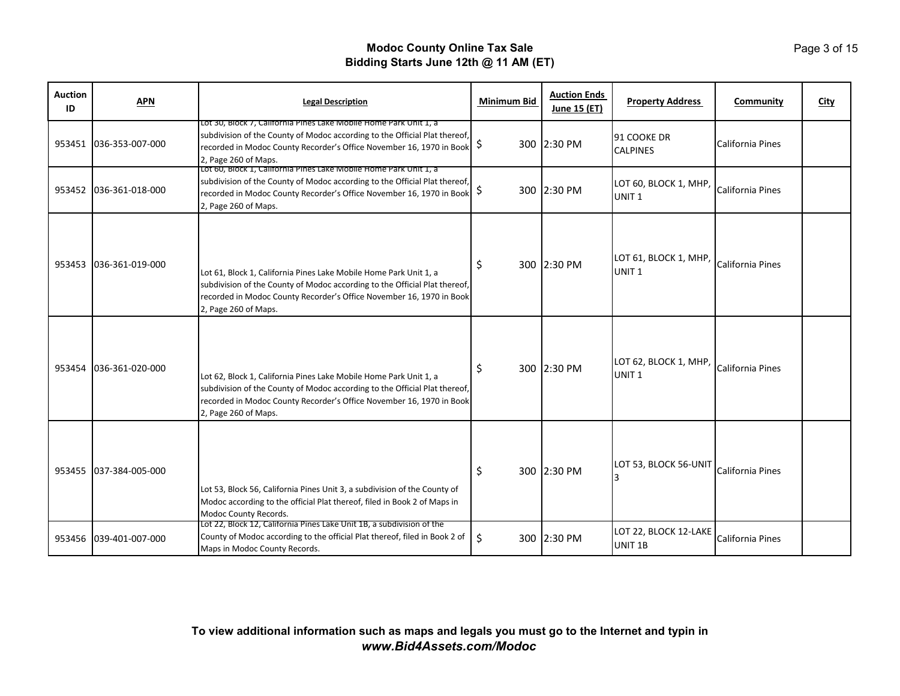| <b>Auction</b><br>ID | <b>APN</b>             | <b>Legal Description</b>                                                                                                                                                                                                                        | <b>Minimum Bid</b> | <b>Auction Ends</b><br>June 15 (ET) | <b>Property Address</b>                                     | Community               | City |
|----------------------|------------------------|-------------------------------------------------------------------------------------------------------------------------------------------------------------------------------------------------------------------------------------------------|--------------------|-------------------------------------|-------------------------------------------------------------|-------------------------|------|
|                      | 953451 036-353-007-000 | Lot 30, Block 7, California Pines Lake Mobile Home Park Unit 1, a<br>subdivision of the County of Modoc according to the Official Plat thereof,<br>recorded in Modoc County Recorder's Office November 16, 1970 in Book<br>2, Page 260 of Maps. | \$                 | 300 2:30 PM                         | 91 COOKE DR<br><b>CALPINES</b>                              | <b>California Pines</b> |      |
|                      | 953452 036-361-018-000 | Lot 60, Block 1, California Pines Lake Mobile Home Park Unit 1, a<br>subdivision of the County of Modoc according to the Official Plat thereof,<br>recorded in Modoc County Recorder's Office November 16, 1970 in Book<br>2, Page 260 of Maps. | \$                 | 300 2:30 PM                         | LOT 60, BLOCK 1, MHP, California Pines<br>UNIT <sub>1</sub> |                         |      |
|                      | 953453 036-361-019-000 | Lot 61, Block 1, California Pines Lake Mobile Home Park Unit 1, a<br>subdivision of the County of Modoc according to the Official Plat thereof,<br>recorded in Modoc County Recorder's Office November 16, 1970 in Book<br>2, Page 260 of Maps. | \$                 | 300 2:30 PM                         | LOT 61, BLOCK 1, MHP, California Pines<br>UNIT <sub>1</sub> |                         |      |
|                      | 953454 036-361-020-000 | Lot 62, Block 1, California Pines Lake Mobile Home Park Unit 1, a<br>subdivision of the County of Modoc according to the Official Plat thereof,<br>recorded in Modoc County Recorder's Office November 16, 1970 in Book<br>2, Page 260 of Maps. | \$                 | 300 2:30 PM                         | LOT 62, BLOCK 1, MHP, California Pines<br>UNIT <sub>1</sub> |                         |      |
|                      | 953455 037-384-005-000 | Lot 53, Block 56, California Pines Unit 3, a subdivision of the County of<br>Modoc according to the official Plat thereof, filed in Book 2 of Maps in<br>Modoc County Records.                                                                  | \$                 | 300 2:30 PM                         | LOT 53, BLOCK 56-UNIT                                       | California Pines        |      |
|                      | 953456 039-401-007-000 | Lot 22, Block 12, California Pines Lake Unit 1B, a subdivision of the<br>County of Modoc according to the official Plat thereof, filed in Book 2 of<br>Maps in Modoc County Records.                                                            | \$                 | 300 2:30 PM                         | LOT 22, BLOCK 12-LAKE<br>UNIT 1B                            | California Pines        |      |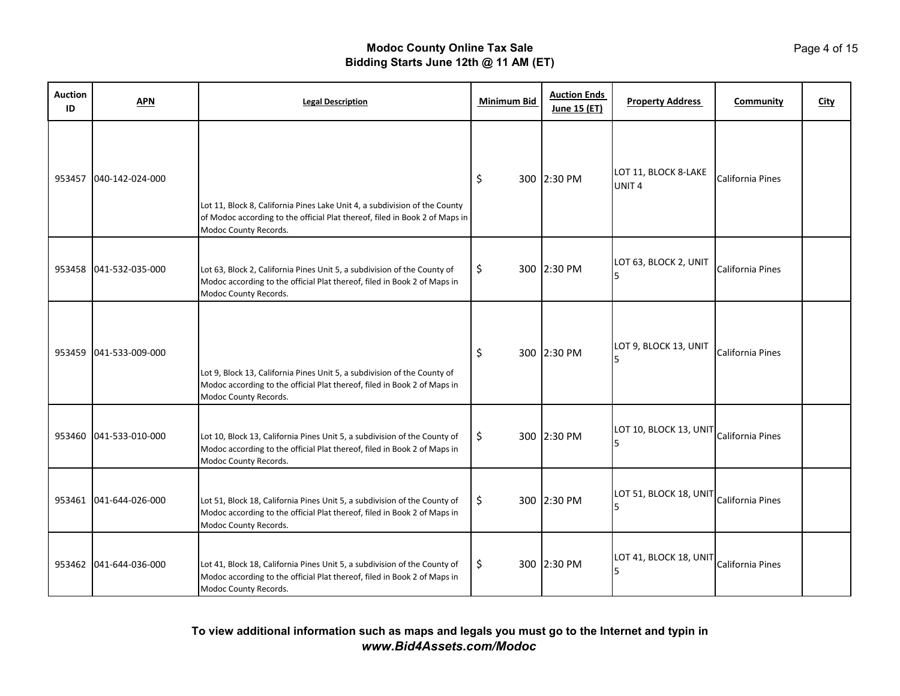| <b>Auction</b><br>ID | <b>APN</b>             | <b>Legal Description</b>                                                                                                                                                           | <b>Minimum Bid</b> | <b>Auction Ends</b><br>June 15 (ET) | <b>Property Address</b>                   | <b>Community</b> | <b>City</b> |
|----------------------|------------------------|------------------------------------------------------------------------------------------------------------------------------------------------------------------------------------|--------------------|-------------------------------------|-------------------------------------------|------------------|-------------|
| 953457               | 040-142-024-000        | Lot 11, Block 8, California Pines Lake Unit 4, a subdivision of the County<br>of Modoc according to the official Plat thereof, filed in Book 2 of Maps in<br>Modoc County Records. | \$                 | 300 2:30 PM                         | LOT 11, BLOCK 8-LAKE<br>UNIT <sub>4</sub> | California Pines |             |
|                      | 953458 041-532-035-000 | Lot 63, Block 2, California Pines Unit 5, a subdivision of the County of<br>Modoc according to the official Plat thereof, filed in Book 2 of Maps in<br>Modoc County Records.      | \$                 | 300 2:30 PM                         | LOT 63, BLOCK 2, UNIT                     | California Pines |             |
|                      | 953459 041-533-009-000 | Lot 9, Block 13, California Pines Unit 5, a subdivision of the County of<br>Modoc according to the official Plat thereof, filed in Book 2 of Maps in<br>Modoc County Records.      | \$                 | 300 2:30 PM                         | LOT 9, BLOCK 13, UNIT                     | California Pines |             |
|                      | 953460 041-533-010-000 | Lot 10, Block 13, California Pines Unit 5, a subdivision of the County of<br>Modoc according to the official Plat thereof, filed in Book 2 of Maps in<br>Modoc County Records.     | \$                 | 300 2:30 PM                         | LOT 10, BLOCK 13, UNIT                    | California Pines |             |
|                      | 953461 041-644-026-000 | Lot 51, Block 18, California Pines Unit 5, a subdivision of the County of<br>Modoc according to the official Plat thereof, filed in Book 2 of Maps in<br>Modoc County Records.     | \$                 | 300 2:30 PM                         | LOT 51, BLOCK 18, UNIT California Pines   |                  |             |
| 953462               | 041-644-036-000        | Lot 41, Block 18, California Pines Unit 5, a subdivision of the County of<br>Modoc according to the official Plat thereof, filed in Book 2 of Maps in<br>Modoc County Records.     | \$                 | 300 2:30 PM                         | LOT 41, BLOCK 18, UNIT                    | California Pines |             |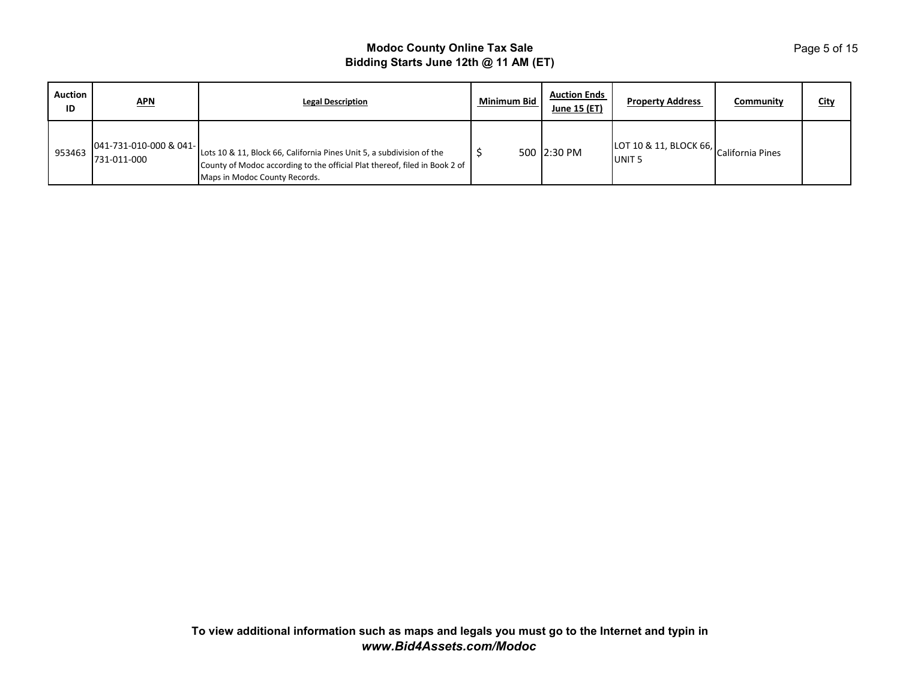| <b>Auction</b><br>ID | <u>APN</u>                            | <b>Legal Description</b>                                                                                                                                                             | Minimum Bid | <b>Auction Ends</b><br>June 15 (ET) | <b>Property Address</b>                                         | Community | <b>City</b> |
|----------------------|---------------------------------------|--------------------------------------------------------------------------------------------------------------------------------------------------------------------------------------|-------------|-------------------------------------|-----------------------------------------------------------------|-----------|-------------|
| 953463               | 041-731-010-000 & 041-<br>731-011-000 | Lots 10 & 11, Block 66, California Pines Unit 5, a subdivision of the<br>County of Modoc according to the official Plat thereof, filed in Book 2 of<br>Maps in Modoc County Records. |             | 500 2:30 PM                         | $[LOT 10 & 11, BLOCK 66,$ California Pines<br>UNIT <sub>5</sub> |           |             |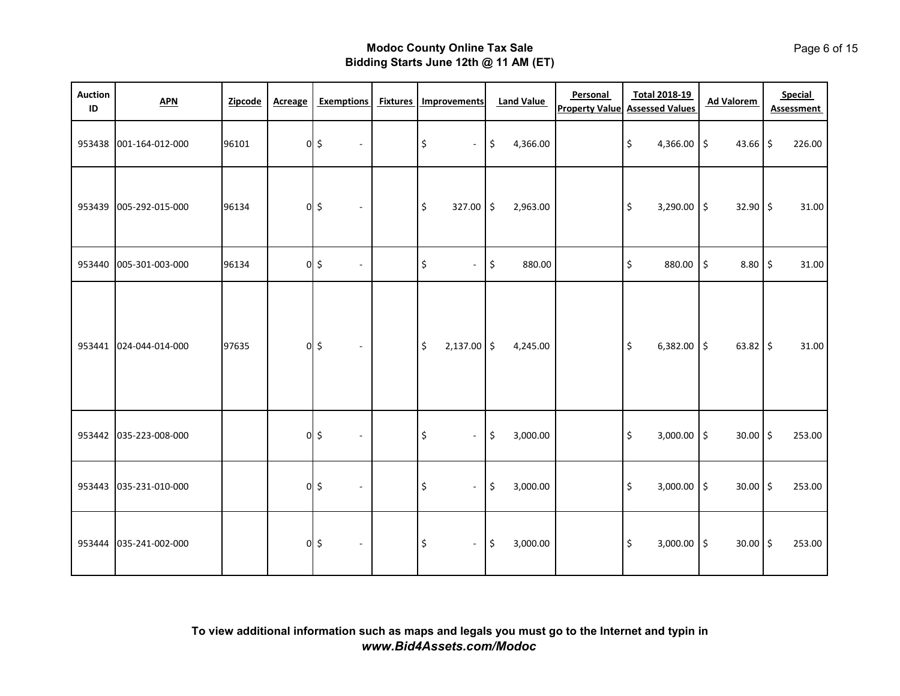| <b>Auction</b><br>ID | APN                    | Zipcode | <b>Acreage</b> | <b>Exemptions</b>                     | <b>Fixtures</b> | <b>Improvements</b>                         | <b>Land Value</b> | Personal | <b>Total 2018-19</b><br><b>Property Value Assessed Values</b> | <b>Ad Valorem</b>       | <b>Special</b><br><b>Assessment</b> |
|----------------------|------------------------|---------|----------------|---------------------------------------|-----------------|---------------------------------------------|-------------------|----------|---------------------------------------------------------------|-------------------------|-------------------------------------|
| 953438               | 001-164-012-000        | 96101   |                | $0$ \$<br>$\sim$                      |                 | \$<br>$\sim$                                | \$<br>4,366.00    |          | \$<br>4,366.00 \$                                             | $43.66$ \$              | 226.00                              |
| 953439               | 005-292-015-000        | 96134   |                | $0$ \$<br>$\blacksquare$              |                 | \$<br>$327.00$ \$                           | 2,963.00          |          | \$<br>$3,290.00$ \$                                           | $32.90$ \$              | 31.00                               |
| 953440               | 005-301-003-000        | 96134   |                | $0\overline{\phantom{a}}$<br>$\omega$ |                 | \$<br>$\blacksquare$                        | \$<br>880.00      |          | \$<br>880.00                                                  | \$<br>$8.80\frac{1}{5}$ | 31.00                               |
| 953441               | 024-044-014-000        | 97635   |                | $0$ \$<br>$\sim$                      |                 | \$<br>$2,137.00$ \$                         | 4,245.00          |          | $\zeta$<br>$6,382.00$ \$                                      | $63.82$ \$              | 31.00                               |
|                      | 953442 035-223-008-000 |         |                | $0$ \$<br>$\omega$                    |                 | $\boldsymbol{\mathsf{S}}$<br>$\blacksquare$ | \$<br>3,000.00    |          | \$<br>$3,000.00$ \$                                           | $30.00$ \$              | 253.00                              |
| 953443               | 035-231-010-000        |         |                | $0$ \$<br>$\sim$                      |                 | \$<br>$\blacksquare$                        | \$<br>3,000.00    |          | $\zeta$<br>$3,000.00$ \$                                      | $30.00$ \$              | 253.00                              |
| 953444               | 035-241-002-000        |         |                | $0$ \$<br>$\sim$                      |                 | $\boldsymbol{\mathsf{S}}$<br>$\blacksquare$ | \$<br>3,000.00    |          | \$<br>$3,000.00$ \$                                           | $30.00$ \$              | 253.00                              |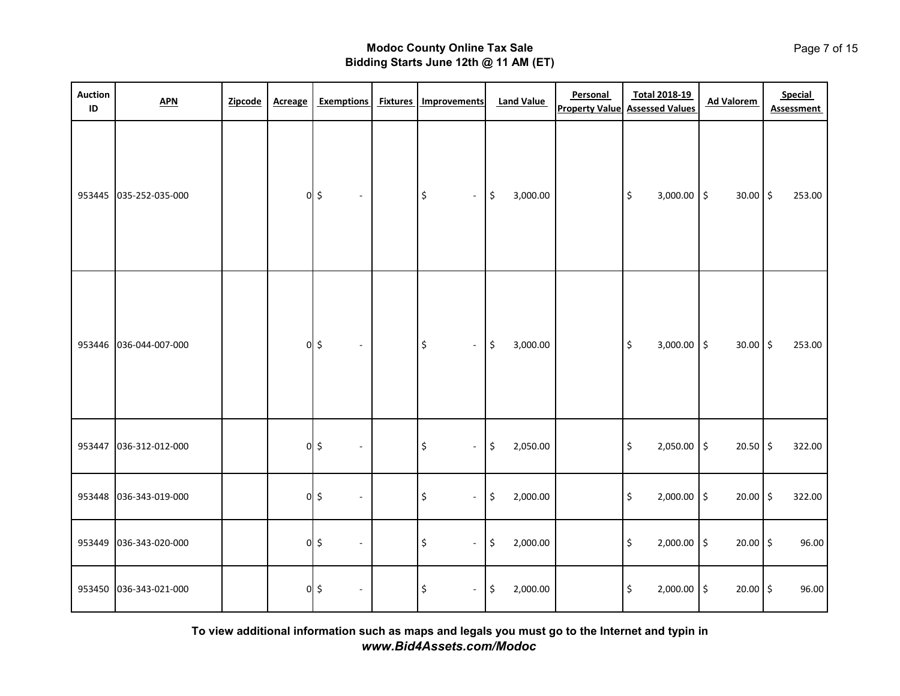| <b>Auction</b><br>ID | <b>APN</b>             | Zipcode | <b>Acreage</b> | <b>Exemptions</b>                  | <b>Fixtures</b> | Improvements                                      | <b>Land Value</b> | Personal<br><b>Property Value</b> | <b>Total 2018-19</b><br><b>Assessed Values</b> | <b>Ad Valorem</b> | Special<br><b>Assessment</b> |
|----------------------|------------------------|---------|----------------|------------------------------------|-----------------|---------------------------------------------------|-------------------|-----------------------------------|------------------------------------------------|-------------------|------------------------------|
| 953445               | 035-252-035-000        |         |                | $0$ \$<br>$\overline{\phantom{a}}$ |                 | $\boldsymbol{\mathsf{\dot{S}}}$<br>$\blacksquare$ | \$<br>3,000.00    |                                   | \$<br>$3,000.00$ \$                            | 30.00 \$          | 253.00                       |
| 953446               | 036-044-007-000        |         |                | $0$ \$<br>$\sim$                   |                 | $\boldsymbol{\mathsf{\dot{S}}}$<br>$\blacksquare$ | \$<br>3,000.00    |                                   | \$<br>$3,000.00$ \$                            | 30.00 \$          | 253.00                       |
| 953447               | 036-312-012-000        |         |                | $0$ \$<br>$\overline{\phantom{a}}$ |                 | \$<br>$\overline{\phantom{a}}$                    | \$<br>2,050.00    |                                   | \$<br>2,050.00 \$                              | $20.50$ \$        | 322.00                       |
| 953448               | 036-343-019-000        |         |                | $0$ \$<br>$\blacksquare$           |                 | \$<br>$\blacksquare$                              | \$<br>2,000.00    |                                   | \$<br>$2,000.00$ \$                            | 20.00             | $\frac{1}{2}$<br>322.00      |
| 953449               | 036-343-020-000        |         |                | $0$ \$<br>$\blacksquare$           |                 | \$<br>$\overline{\phantom{a}}$                    | \$<br>2,000.00    |                                   | \$<br>$2,000.00$ \$                            | 20.00 \$          | 96.00                        |
|                      | 953450 036-343-021-000 |         |                | $0$ \$<br>$\overline{\phantom{a}}$ |                 | \$<br>$\blacksquare$                              | \$<br>2,000.00    |                                   | \$<br>2,000.00 \$                              | 20.00             | $\frac{1}{2}$<br>96.00       |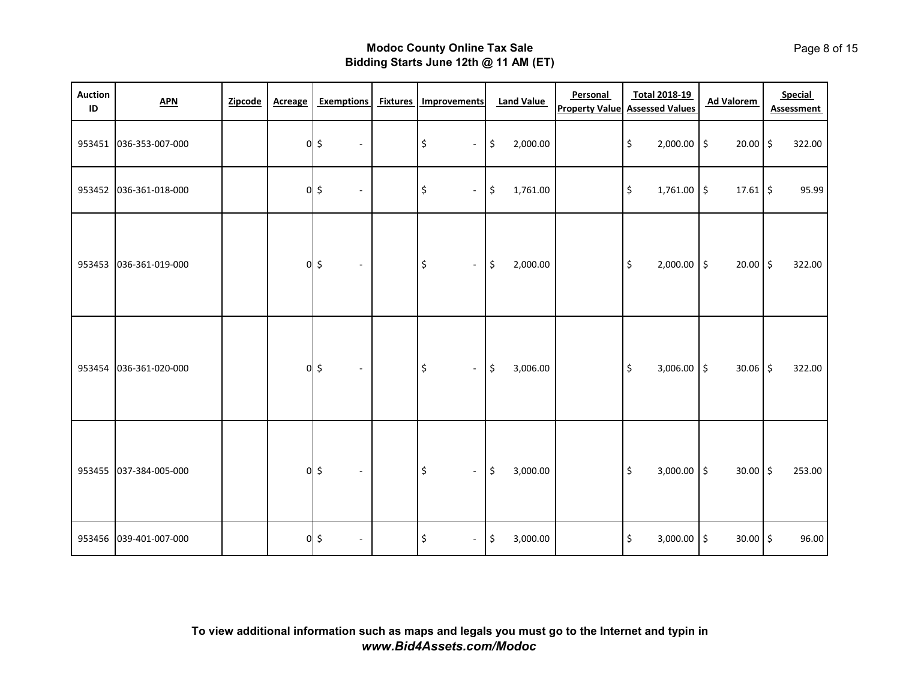| <b>Auction</b><br>ID | APN                    | Zipcode | <b>Acreage</b> | <b>Exemptions</b>                  | <b>Fixtures</b> | <b>Improvements</b>                         | <b>Land Value</b>         | Personal<br><b>Property Value</b> | <b>Total 2018-19</b><br><b>Assessed Values</b> | <b>Ad Valorem</b> | Special<br>Assessment |
|----------------------|------------------------|---------|----------------|------------------------------------|-----------------|---------------------------------------------|---------------------------|-----------------------------------|------------------------------------------------|-------------------|-----------------------|
|                      | 953451 036-353-007-000 |         |                | $0$ \$<br>$\blacksquare$           |                 | \$<br>$\blacksquare$                        | \$<br>2,000.00            |                                   | $\boldsymbol{\mathsf{S}}$<br>2,000.00 \$       | $20.00$ \$        | 322.00                |
| 953452               | 036-361-018-000        |         |                | $0$ \$<br>$\overline{\phantom{a}}$ |                 | \$<br>$\blacksquare$                        | \$<br>1,761.00            |                                   | $\zeta$<br>1,761.00 \$                         | $17.61$ \$        | 95.99                 |
| 953453               | 036-361-019-000        |         |                | $0$ \$<br>$\blacksquare$           |                 | \$<br>$\blacksquare$                        | \$<br>2,000.00            |                                   | $\boldsymbol{\mathsf{S}}$<br>2,000.00 \$       | $20.00$ \$        | 322.00                |
| 953454               | 036-361-020-000        |         |                | $0$ \$<br>$\blacksquare$           |                 | \$<br>$\blacksquare$                        | $\zeta$<br>3,006.00       |                                   | $\zeta$<br>3,006.00 \$                         | $30.06$ \$        | 322.00                |
| 953455               | 037-384-005-000        |         |                | $0$ \$<br>$\blacksquare$           |                 | $\boldsymbol{\mathsf{S}}$<br>$\blacksquare$ | $\frac{1}{2}$<br>3,000.00 |                                   | $\zeta$<br>$3,000.00$ \$                       | $30.00$ \$        | 253.00                |
|                      | 953456 039-401-007-000 |         |                | $0$ \$<br>$\blacksquare$           |                 | \$<br>$\blacksquare$                        | $\ddot{\phi}$<br>3,000.00 |                                   | \$<br>$3,000.00$ \$                            | 30.00 \$          | 96.00                 |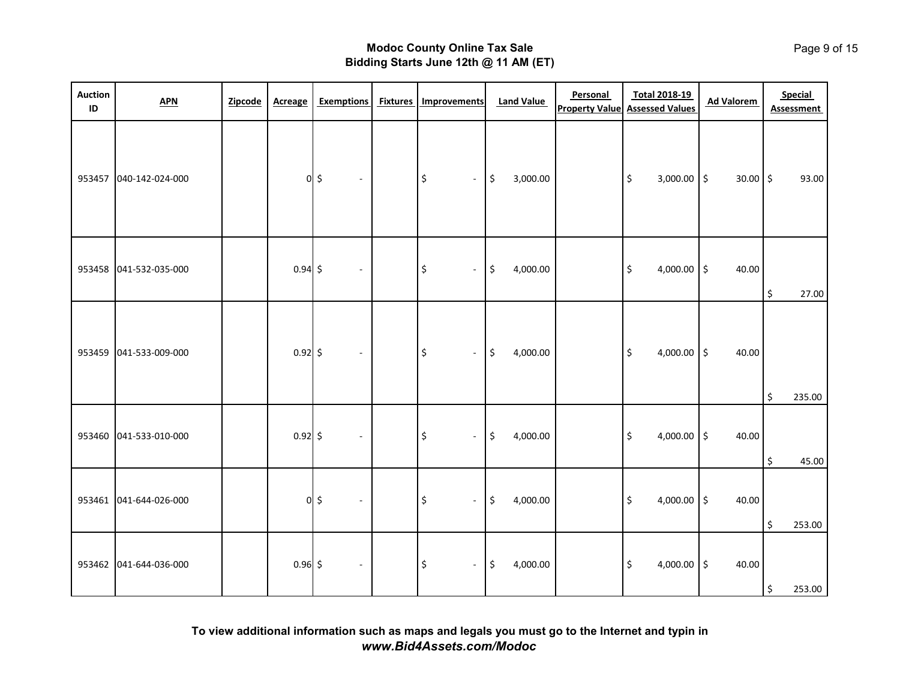| <b>Auction</b><br>ID | <b>APN</b>             | Zipcode | <b>Acreage</b> | <b>Exemptions</b>           | <b>Fixtures</b> | Improvements                                | <b>Land Value</b> | Personal | <b>Total 2018-19</b><br><b>Property Value Assessed Values</b> | <b>Ad Valorem</b> | Special<br><b>Assessment</b> |
|----------------------|------------------------|---------|----------------|-----------------------------|-----------------|---------------------------------------------|-------------------|----------|---------------------------------------------------------------|-------------------|------------------------------|
| 953457               | 040-142-024-000        |         |                | $0$ \$<br>$\sim$            |                 | $\frac{1}{2}$<br>$\sim$                     | \$<br>3,000.00    |          | \$<br>$3,000.00$ \$                                           | $30.00$ \$        | 93.00                        |
| 953458               | 041-532-035-000        |         | $0.94$ \$      | $\blacksquare$              |                 | $\boldsymbol{\mathsf{S}}$<br>$\blacksquare$ | \$<br>4,000.00    |          | 4,000.00 $\vert$ \$<br>\$                                     | 40.00             | \$<br>27.00                  |
| 953459               | 041-533-009-000        |         | $0.92$ \$      | $\mathcal{L}_{\mathcal{A}}$ |                 | \$<br>$\omega$                              | \$<br>4,000.00    |          | \$<br>4,000.00 $\vert$ \$                                     | 40.00             | \$<br>235.00                 |
| 953460               | 041-533-010-000        |         | $0.92$ \$      | $\sim$                      |                 | \$<br>$\omega$                              | \$<br>4,000.00    |          | \$<br>4,000.00 \$                                             | 40.00             | \$<br>45.00                  |
|                      | 953461 041-644-026-000 |         |                | $0$ \$<br>$\omega$          |                 | \$<br>$\blacksquare$                        | \$<br>4,000.00    |          | \$<br>4,000.00 $\vert$ \$                                     | 40.00             | \$<br>253.00                 |
| 953462               | 041-644-036-000        |         | $0.96$ \$      | $\sim$                      |                 | $\uparrow$<br>$\blacksquare$                | \$<br>4,000.00    |          | \$<br>4,000.00 \$                                             | 40.00             | \$<br>253.00                 |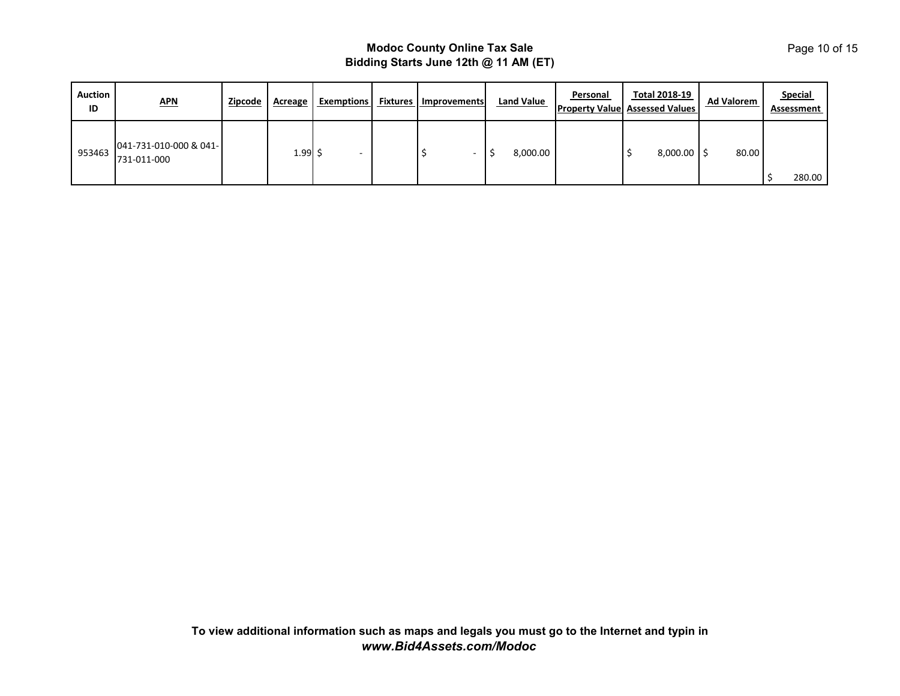| <b>Auction</b><br>ID | <u>APN</u>                            | Zipcode | Acreage      | <b>Exemptions</b> | <b>Fixtures   Improvements</b> | <b>Land Value</b> | Personal | <b>Total 2018-19</b><br><b>Property Value Assessed Values</b> | <b>Ad Valorem</b> | <b>Special</b><br>Assessment |
|----------------------|---------------------------------------|---------|--------------|-------------------|--------------------------------|-------------------|----------|---------------------------------------------------------------|-------------------|------------------------------|
| 953463               | 041-731-010-000 & 041-<br>731-011-000 |         | $1.99 \,$ \$ |                   |                                | 8,000.00          |          | $8,000.00$ S                                                  | 80.00             | 280.00                       |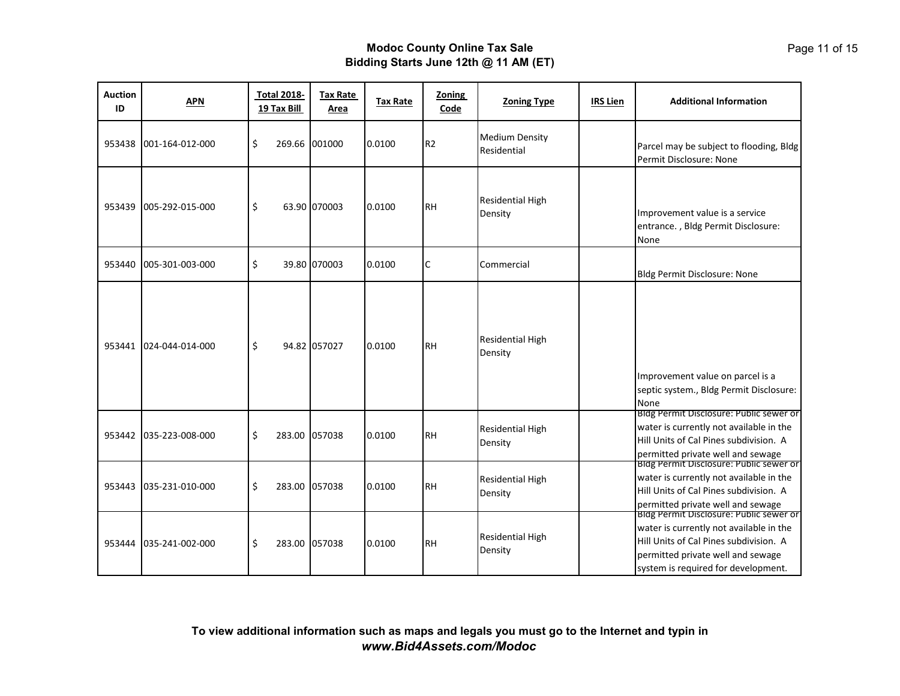| <b>Auction</b><br>ID | <b>APN</b>      | <b>Total 2018-</b><br>19 Tax Bill | <b>Tax Rate</b><br>Area | <b>Tax Rate</b> | <b>Zoning</b><br>Code | <b>Zoning Type</b>                   | <b>IRS Lien</b> | <b>Additional Information</b>                                                                                                                                                                                |
|----------------------|-----------------|-----------------------------------|-------------------------|-----------------|-----------------------|--------------------------------------|-----------------|--------------------------------------------------------------------------------------------------------------------------------------------------------------------------------------------------------------|
| 953438               | 001-164-012-000 | \$<br>269.66                      | 001000                  | 0.0100          | R <sub>2</sub>        | <b>Medium Density</b><br>Residential |                 | Parcel may be subject to flooding, Bldg<br>Permit Disclosure: None                                                                                                                                           |
| 953439               | 005-292-015-000 | \$                                | 63.90 070003            | 0.0100          | <b>RH</b>             | Residential High<br>Density          |                 | Improvement value is a service<br>entrance., Bldg Permit Disclosure:<br>None                                                                                                                                 |
| 953440               | 005-301-003-000 | \$                                | 39.80 070003            | 0.0100          | С                     | Commercial                           |                 | Bldg Permit Disclosure: None                                                                                                                                                                                 |
| 953441               | 024-044-014-000 | \$                                | 94.82 057027            | 0.0100          | <b>RH</b>             | Residential High<br>Density          |                 | Improvement value on parcel is a<br>septic system., Bldg Permit Disclosure:<br>None                                                                                                                          |
| 953442               | 035-223-008-000 | \$                                | 283.00 057038           | 0.0100          | <b>RH</b>             | Residential High<br>Density          |                 | Bldg Permit Disclosure: Public sewer or<br>water is currently not available in the<br>Hill Units of Cal Pines subdivision. A<br>permitted private well and sewage<br>BIOG Permit DISCIOSUTE: PUDIIC Sewer or |
| 953443               | 035-231-010-000 | \$<br>283.00                      | 057038                  | 0.0100          | <b>RH</b>             | Residential High<br>Density          |                 | water is currently not available in the<br>Hill Units of Cal Pines subdivision. A<br>permitted private well and sewage                                                                                       |
| 953444               | 035-241-002-000 | \$                                | 283.00 057038           | 0.0100          | <b>RH</b>             | Residential High<br>Density          |                 | Bidg Permit Disclosure: Public sewer or<br>water is currently not available in the<br>Hill Units of Cal Pines subdivision. A<br>permitted private well and sewage<br>system is required for development.     |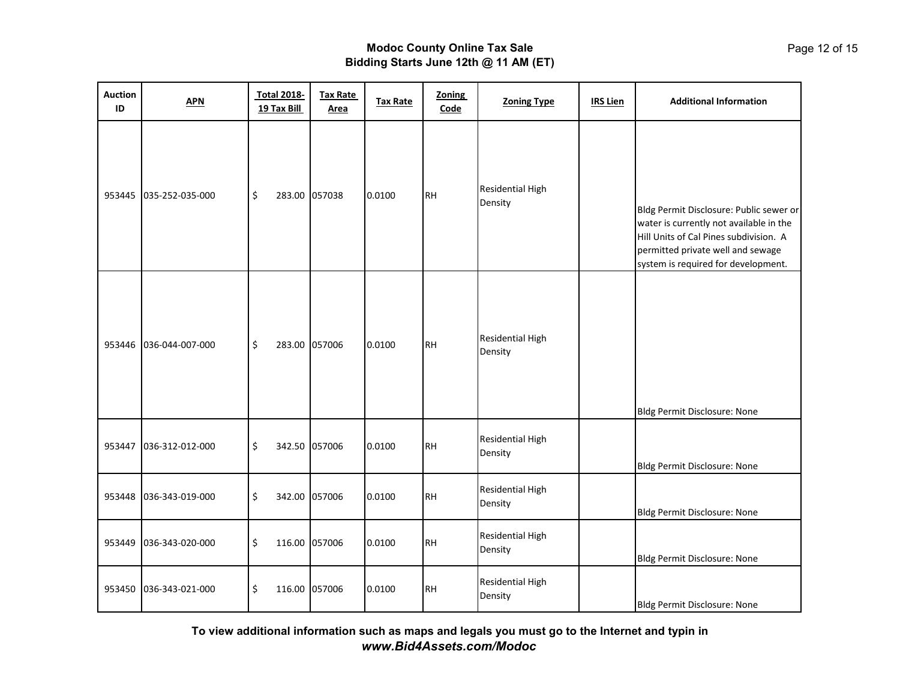| <b>Auction</b><br>ID | <b>APN</b>      | <b>Total 2018-</b><br>19 Tax Bill | <b>Tax Rate</b><br>Area | <b>Tax Rate</b> | <b>Zoning</b><br>Code | <b>Zoning Type</b>                 | <b>IRS Lien</b> | <b>Additional Information</b>                                                                                                                                                                            |
|----------------------|-----------------|-----------------------------------|-------------------------|-----------------|-----------------------|------------------------------------|-----------------|----------------------------------------------------------------------------------------------------------------------------------------------------------------------------------------------------------|
| 953445               | 035-252-035-000 | \$<br>283.00 057038               |                         | 0.0100          | <b>RH</b>             | Residential High<br>Density        |                 | Bldg Permit Disclosure: Public sewer or<br>water is currently not available in the<br>Hill Units of Cal Pines subdivision. A<br>permitted private well and sewage<br>system is required for development. |
| 953446               | 036-044-007-000 | \$<br>283.00 057006               |                         | 0.0100          | <b>RH</b>             | Residential High<br>Density        |                 | Bldg Permit Disclosure: None                                                                                                                                                                             |
| 953447               | 036-312-012-000 | \$<br>342.50 057006               |                         | 0.0100          | <b>RH</b>             | Residential High<br>Density        |                 | Bldg Permit Disclosure: None                                                                                                                                                                             |
| 953448               | 036-343-019-000 | \$<br>342.00 057006               |                         | 0.0100          | <b>RH</b>             | <b>Residential High</b><br>Density |                 | Bldg Permit Disclosure: None                                                                                                                                                                             |
| 953449               | 036-343-020-000 | \$<br>116.00 057006               |                         | 0.0100          | <b>RH</b>             | <b>Residential High</b><br>Density |                 | Bldg Permit Disclosure: None                                                                                                                                                                             |
| 953450               | 036-343-021-000 | \$<br>116.00 057006               |                         | 0.0100          | <b>RH</b>             | <b>Residential High</b><br>Density |                 | Bldg Permit Disclosure: None                                                                                                                                                                             |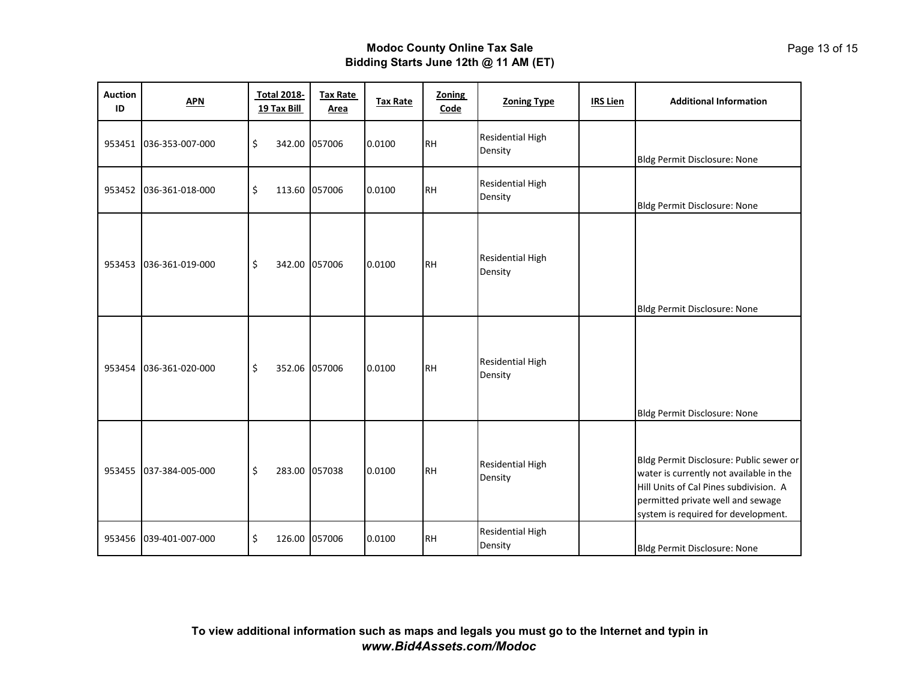| <b>Auction</b><br>ID | <b>APN</b>      | <b>Total 2018-</b><br>19 Tax Bill | <b>Tax Rate</b><br><b>Area</b> | <b>Tax Rate</b> | <b>Zoning</b><br>Code | <b>Zoning Type</b>                 | <b>IRS Lien</b> | <b>Additional Information</b>                                                                                                                                                                            |
|----------------------|-----------------|-----------------------------------|--------------------------------|-----------------|-----------------------|------------------------------------|-----------------|----------------------------------------------------------------------------------------------------------------------------------------------------------------------------------------------------------|
| 953451               | 036-353-007-000 | \$                                | 342.00 057006                  | 0.0100          | <b>RH</b>             | <b>Residential High</b><br>Density |                 | Bldg Permit Disclosure: None                                                                                                                                                                             |
| 953452               | 036-361-018-000 | \$                                | 113.60 057006                  | 0.0100          | <b>RH</b>             | <b>Residential High</b><br>Density |                 | Bldg Permit Disclosure: None                                                                                                                                                                             |
| 953453               | 036-361-019-000 | \$                                | 342.00 057006                  | 0.0100          | <b>RH</b>             | <b>Residential High</b><br>Density |                 | Bldg Permit Disclosure: None                                                                                                                                                                             |
| 953454               | 036-361-020-000 | \$                                | 352.06 057006                  | 0.0100          | <b>RH</b>             | <b>Residential High</b><br>Density |                 | Bldg Permit Disclosure: None                                                                                                                                                                             |
| 953455               | 037-384-005-000 | \$                                | 283.00 057038                  | 0.0100          | <b>RH</b>             | <b>Residential High</b><br>Density |                 | Bldg Permit Disclosure: Public sewer or<br>water is currently not available in the<br>Hill Units of Cal Pines subdivision. A<br>permitted private well and sewage<br>system is required for development. |
| 953456               | 039-401-007-000 | \$<br>126.00                      | 057006                         | 0.0100          | <b>RH</b>             | <b>Residential High</b><br>Density |                 | Bldg Permit Disclosure: None                                                                                                                                                                             |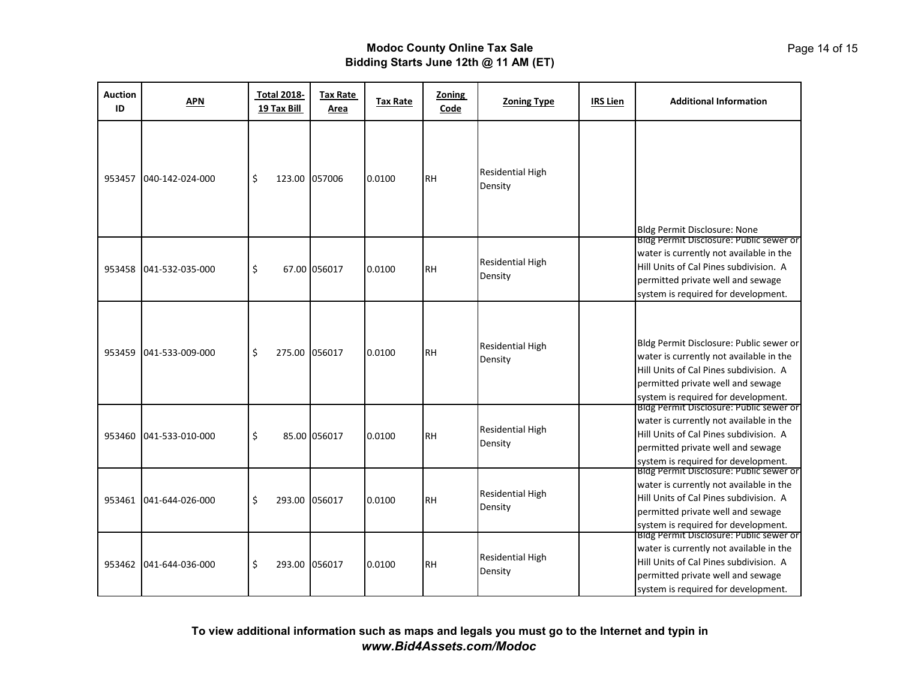| <b>Auction</b><br>ID | <b>APN</b>      | <b>Total 2018-</b><br>19 Tax Bill | <b>Tax Rate</b><br>Area | <b>Tax Rate</b> | <b>Zoning</b><br>Code | <b>Zoning Type</b>                 | <b>IRS Lien</b> | <b>Additional Information</b>                                                                                                                                                                                                                                                                                                                                                                                                                                                                                                                                                                                                    |
|----------------------|-----------------|-----------------------------------|-------------------------|-----------------|-----------------------|------------------------------------|-----------------|----------------------------------------------------------------------------------------------------------------------------------------------------------------------------------------------------------------------------------------------------------------------------------------------------------------------------------------------------------------------------------------------------------------------------------------------------------------------------------------------------------------------------------------------------------------------------------------------------------------------------------|
| 953457               | 040-142-024-000 | \$                                | 123.00 057006           | 0.0100          | <b>RH</b>             | <b>Residential High</b><br>Density |                 | Bldg Permit Disclosure: None                                                                                                                                                                                                                                                                                                                                                                                                                                                                                                                                                                                                     |
| 953458               | 041-532-035-000 | \$                                | 67.00 056017            | 0.0100          | <b>RH</b>             | <b>Residential High</b><br>Density |                 | Bldg Permit Disclosure: Public sewer or<br>water is currently not available in the<br>Hill Units of Cal Pines subdivision. A<br>permitted private well and sewage<br>system is required for development.                                                                                                                                                                                                                                                                                                                                                                                                                         |
| 953459               | 041-533-009-000 | \$<br>275.00                      | 056017                  | 0.0100          | <b>RH</b>             | <b>Residential High</b><br>Density |                 | Bldg Permit Disclosure: Public sewer or<br>water is currently not available in the<br>Hill Units of Cal Pines subdivision. A<br>permitted private well and sewage<br>system is required for development.                                                                                                                                                                                                                                                                                                                                                                                                                         |
| 953460               | 041-533-010-000 | \$                                | 85.00 056017            | 0.0100          | <b>RH</b>             | <b>Residential High</b><br>Density |                 | Bidg Permit Disclosure: Public sewer or<br>water is currently not available in the<br>Hill Units of Cal Pines subdivision. A<br>permitted private well and sewage<br>system is required for development.<br>Bldg Permit Disclosure: Public sewer or<br>water is currently not available in the<br>Hill Units of Cal Pines subdivision. A<br>permitted private well and sewage<br>system is required for development.<br>Bidg Permit Disclosure: Public sewer or<br>water is currently not available in the<br>Hill Units of Cal Pines subdivision. A<br>permitted private well and sewage<br>system is required for development. |
| 953461               | 041-644-026-000 | \$<br>293.00                      | 056017                  | 0.0100          | <b>RH</b>             | <b>Residential High</b><br>Density |                 |                                                                                                                                                                                                                                                                                                                                                                                                                                                                                                                                                                                                                                  |
| 953462               | 041-644-036-000 | \$<br>293.00                      | 056017                  | 0.0100          | <b>RH</b>             | <b>Residential High</b><br>Density |                 |                                                                                                                                                                                                                                                                                                                                                                                                                                                                                                                                                                                                                                  |